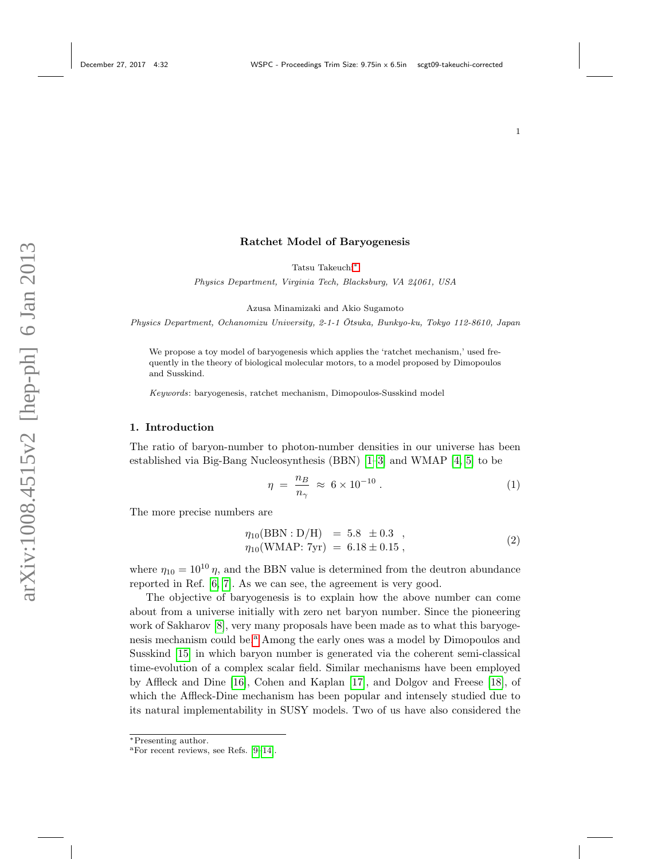#### Ratchet Model of Baryogenesis

Tatsu Takeuchi[∗](#page-0-0)

Physics Department, Virginia Tech, Blacksburg, VA 24061, USA

Azusa Minamizaki and Akio Sugamoto

Physics Department, Ochanomizu University, 2-1-1 Otsuka, Bunkyo-ku, Tokyo 112-8610, Japan ¯

We propose a toy model of baryogenesis which applies the 'ratchet mechanism,' used frequently in the theory of biological molecular motors, to a model proposed by Dimopoulos and Susskind.

Keywords: baryogenesis, ratchet mechanism, Dimopoulos-Susskind model

## 1. Introduction

The ratio of baryon-number to photon-number densities in our universe has been established via Big-Bang Nucleosynthesis (BBN) [\[1–](#page-6-0)[3\]](#page-6-1) and WMAP [\[4,](#page-6-2) [5\]](#page-6-3) to be

$$
\eta = \frac{n_B}{n_\gamma} \approx 6 \times 10^{-10} \,. \tag{1}
$$

The more precise numbers are

$$
\eta_{10}(\text{BBN}: \text{D/H}) = 5.8 \pm 0.3 ,\n\eta_{10}(\text{WMAP: 7yr}) = 6.18 \pm 0.15 ,
$$
\n(2)

where  $\eta_{10} = 10^{10} \eta$ , and the BBN value is determined from the deutron abundance reported in Ref. [\[6,](#page-6-4) [7\]](#page-6-5). As we can see, the agreement is very good.

The objective of baryogenesis is to explain how the above number can come about from a universe initially with zero net baryon number. Since the pioneering work of Sakharov [\[8\]](#page-6-6), very many proposals have been made as to what this baryogenesis mech[a](#page-0-1)nism could be.<sup>a</sup> Among the early ones was a model by Dimopoulos and Susskind [\[15\]](#page-6-7) in which baryon number is generated via the coherent semi-classical time-evolution of a complex scalar field. Similar mechanisms have been employed by Affleck and Dine [\[16\]](#page-6-8), Cohen and Kaplan [\[17\]](#page-6-9), and Dolgov and Freese [\[18\]](#page-6-10), of which the Affleck-Dine mechanism has been popular and intensely studied due to its natural implementability in SUSY models. Two of us have also considered the

<span id="page-0-0"></span><sup>∗</sup>Presenting author.

<span id="page-0-1"></span><sup>a</sup>For recent reviews, see Refs. [\[9–](#page-6-11)[14\]](#page-6-12).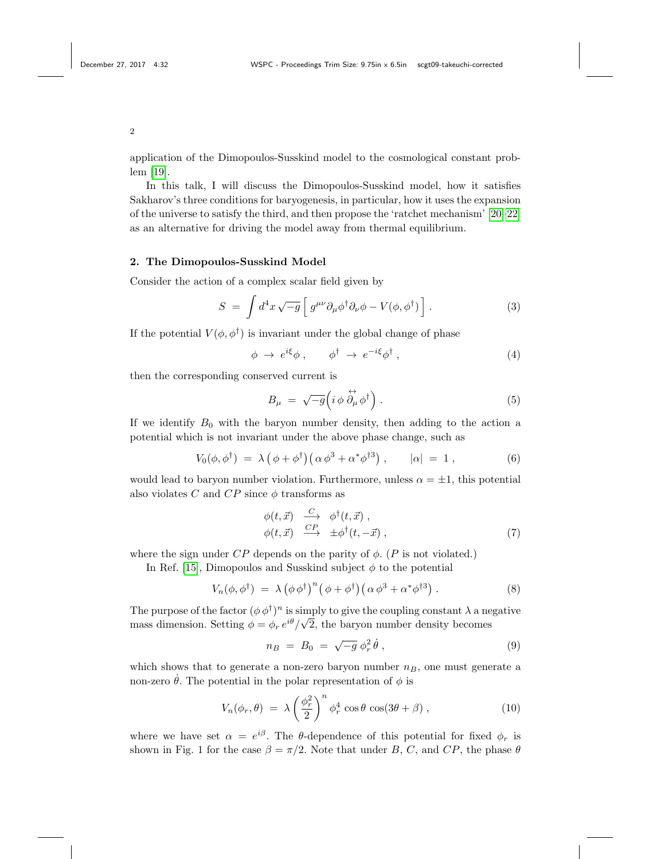application of the Dimopoulos-Susskind model to the cosmological constant problem [\[19\]](#page-6-13).

In this talk, I will discuss the Dimopoulos-Susskind model, how it satisfies Sakharov's three conditions for baryogenesis, in particular, how it uses the expansion of the universe to satisfy the third, and then propose the 'ratchet mechanism' [\[20–](#page-6-14)[22\]](#page-6-15) as an alternative for driving the model away from thermal equilibrium.

### 2. The Dimopoulos-Susskind Model

Consider the action of a complex scalar field given by

$$
S = \int d^4x \sqrt{-g} \left[ g^{\mu\nu} \partial_\mu \phi^\dagger \partial_\nu \phi - V(\phi, \phi^\dagger) \right]. \tag{3}
$$

If the potential  $V(\phi, \phi^{\dagger})$  is invariant under the global change of phase

$$
\phi \to e^{i\xi} \phi \,, \qquad \phi^\dagger \to e^{-i\xi} \phi^\dagger \,, \tag{4}
$$

then the corresponding conserved current is

$$
B_{\mu} = \sqrt{-g} \left( i \phi \stackrel{\leftrightarrow}{\partial_{\mu}} \phi^{\dagger} \right). \tag{5}
$$

If we identify  $B_0$  with the baryon number density, then adding to the action a potential which is not invariant under the above phase change, such as

$$
V_0(\phi, \phi^{\dagger}) = \lambda \left( \phi + \phi^{\dagger} \right) \left( \alpha \phi^3 + \alpha^* \phi^{\dagger 3} \right), \qquad |\alpha| = 1, \tag{6}
$$

would lead to baryon number violation. Furthermore, unless  $\alpha = \pm 1$ , this potential also violates C and  $CP$  since  $\phi$  transforms as

$$
\begin{array}{ll}\n\phi(t,\vec{x}) & \xrightarrow{C} & \phi^{\dagger}(t,\vec{x}) \,, \\
\phi(t,\vec{x}) & \xrightarrow{CP} & \pm \phi^{\dagger}(t,-\vec{x}) \,,\n\end{array} \tag{7}
$$

where the sign under  $CP$  depends on the parity of  $\phi$ . (P is not violated.)

In Ref. [\[15\]](#page-6-7), Dimopoulos and Susskind subject  $\phi$  to the potential

$$
V_n(\phi, \phi^{\dagger}) = \lambda (\phi \phi^{\dagger})^n (\phi + \phi^{\dagger}) (\alpha \phi^3 + \alpha^* \phi^{\dagger 3}). \tag{8}
$$

The purpose of the factor  $(\phi \phi^{\dagger})^n$  is simply to give the coupling constant  $\lambda$  a negative The purpose of the factor  $(\varphi \varphi^{\dagger})$  is sin<br>mass dimension. Setting  $\phi = \phi_r e^{i\theta}/\sqrt{\frac{(\varphi^{\dagger})^2}{2\pi}}$ 2, the baryon number density becomes

$$
n_B = B_0 = \sqrt{-g} \phi_r^2 \dot{\theta} , \qquad (9)
$$

which shows that to generate a non-zero baryon number  $n_B$ , one must generate a non-zero  $\dot{\theta}$ . The potential in the polar representation of  $\phi$  is

<span id="page-1-0"></span>
$$
V_n(\phi_r, \theta) = \lambda \left(\frac{\phi_r^2}{2}\right)^n \phi_r^4 \cos \theta \cos(3\theta + \beta), \qquad (10)
$$

where we have set  $\alpha = e^{i\beta}$ . The  $\theta$ -dependence of this potential for fixed  $\phi_r$  is shown in Fig. 1 for the case  $\beta = \pi/2$ . Note that under B, C, and CP, the phase  $\theta$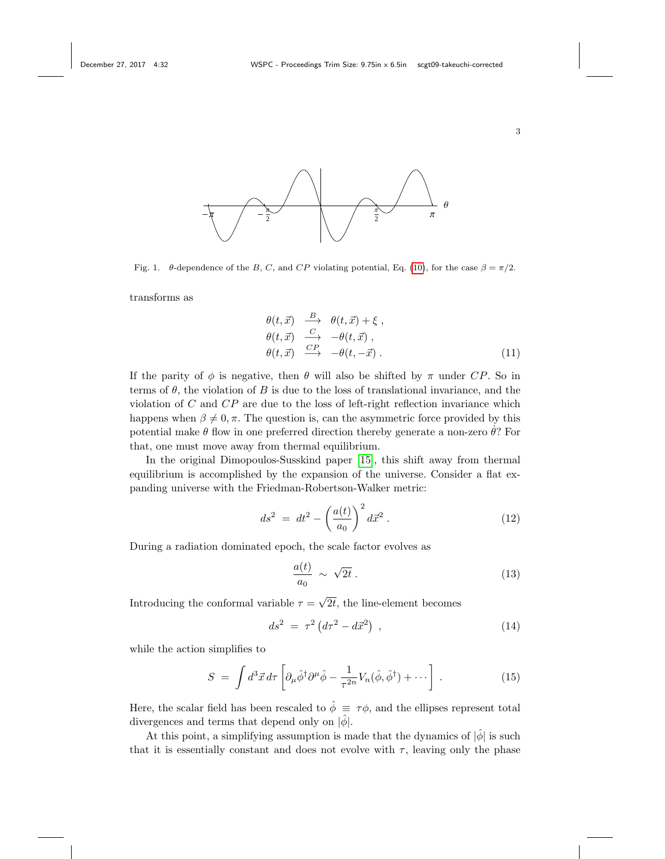



Fig. 1.  $\theta$ -dependence of the B, C, and CP violating potential, Eq. [\(10\)](#page-1-0), for the case  $\beta = \pi/2$ .

transforms as

$$
\begin{array}{ll}\n\theta(t,\vec{x}) & \xrightarrow{B} & \theta(t,\vec{x}) + \xi, \\
\theta(t,\vec{x}) & \xrightarrow{C} & -\theta(t,\vec{x}), \\
\theta(t,\vec{x}) & \xrightarrow{CP} & -\theta(t,-\vec{x}).\n\end{array} \tag{11}
$$

If the parity of  $\phi$  is negative, then  $\theta$  will also be shifted by  $\pi$  under CP. So in terms of  $\theta$ , the violation of B is due to the loss of translational invariance, and the violation of  $C$  and  $\overline{CP}$  are due to the loss of left-right reflection invariance which happens when  $\beta \neq 0, \pi$ . The question is, can the asymmetric force provided by this potential make  $\theta$  flow in one preferred direction thereby generate a non-zero  $\hat{\theta}$ ? For that, one must move away from thermal equilibrium.

In the original Dimopoulos-Susskind paper [\[15\]](#page-6-7), this shift away from thermal equilibrium is accomplished by the expansion of the universe. Consider a flat expanding universe with the Friedman-Robertson-Walker metric:

$$
ds^{2} = dt^{2} - \left(\frac{a(t)}{a_{0}}\right)^{2} d\vec{x}^{2} . \qquad (12)
$$

During a radiation dominated epoch, the scale factor evolves as

$$
\frac{a(t)}{a_0} \sim \sqrt{2t} \,. \tag{13}
$$

Introducing the conformal variable  $\tau =$ √ 2t, the line-element becomes

$$
ds^2 = \tau^2 (d\tau^2 - d\vec{x}^2) , \qquad (14)
$$

while the action simplifies to

$$
S = \int d^3 \vec{x} d\tau \left[ \partial_{\mu} \hat{\phi}^{\dagger} \partial^{\mu} \hat{\phi} - \frac{1}{\tau^{2n}} V_n(\hat{\phi}, \hat{\phi}^{\dagger}) + \cdots \right] . \tag{15}
$$

Here, the scalar field has been rescaled to  $\hat{\phi} \equiv \tau \phi$ , and the ellipses represent total divergences and terms that depend only on  $|\hat{\phi}|$ .

At this point, a simplifying assumption is made that the dynamics of  $|\phi|$  is such that it is essentially constant and does not evolve with  $\tau$ , leaving only the phase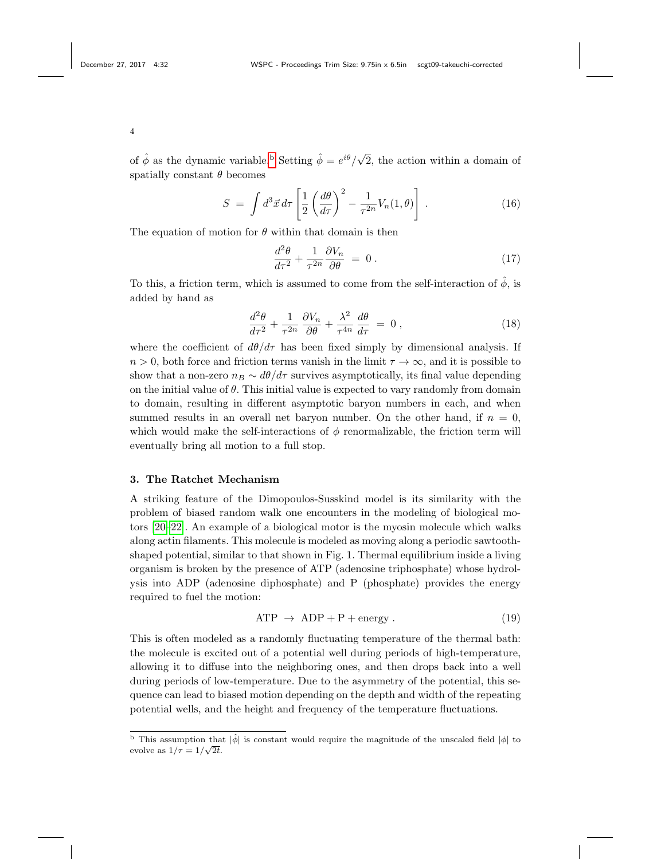of  $\hat{\phi}$  as the dynamic varia[b](#page-3-0)le.<sup>b</sup> Setting  $\hat{\phi} = e^{i\theta}/\sqrt{\frac{(\hat{\phi} - \hat{\phi})^2}{2}}$ 2, the action within a domain of spatially constant  $\theta$  becomes

$$
S = \int d^3 \vec{x} d\tau \left[ \frac{1}{2} \left( \frac{d\theta}{d\tau} \right)^2 - \frac{1}{\tau^{2n}} V_n(1, \theta) \right]. \tag{16}
$$

The equation of motion for  $\theta$  within that domain is then

$$
\frac{d^2\theta}{d\tau^2} + \frac{1}{\tau^{2n}} \frac{\partial V_n}{\partial \theta} = 0.
$$
\n(17)

To this, a friction term, which is assumed to come from the self-interaction of  $\phi$ , is added by hand as

$$
\frac{d^2\theta}{d\tau^2} + \frac{1}{\tau^{2n}} \frac{\partial V_n}{\partial \theta} + \frac{\lambda^2}{\tau^{4n}} \frac{d\theta}{d\tau} = 0, \qquad (18)
$$

where the coefficient of  $d\theta/d\tau$  has been fixed simply by dimensional analysis. If  $n > 0$ , both force and friction terms vanish in the limit  $\tau \to \infty$ , and it is possible to show that a non-zero  $n_B \sim d\theta/d\tau$  survives asymptotically, its final value depending on the initial value of  $\theta$ . This initial value is expected to vary randomly from domain to domain, resulting in different asymptotic baryon numbers in each, and when summed results in an overall net baryon number. On the other hand, if  $n = 0$ , which would make the self-interactions of  $\phi$  renormalizable, the friction term will eventually bring all motion to a full stop.

#### 3. The Ratchet Mechanism

A striking feature of the Dimopoulos-Susskind model is its similarity with the problem of biased random walk one encounters in the modeling of biological motors [\[20](#page-6-14)[–22\]](#page-6-15). An example of a biological motor is the myosin molecule which walks along actin filaments. This molecule is modeled as moving along a periodic sawtoothshaped potential, similar to that shown in Fig. 1. Thermal equilibrium inside a living organism is broken by the presence of ATP (adenosine triphosphate) whose hydrolysis into ADP (adenosine diphosphate) and P (phosphate) provides the energy required to fuel the motion:

$$
ATP \rightarrow ADP + P + energy. \tag{19}
$$

This is often modeled as a randomly fluctuating temperature of the thermal bath: the molecule is excited out of a potential well during periods of high-temperature, allowing it to diffuse into the neighboring ones, and then drops back into a well during periods of low-temperature. Due to the asymmetry of the potential, this sequence can lead to biased motion depending on the depth and width of the repeating potential wells, and the height and frequency of the temperature fluctuations.

<span id="page-3-0"></span><sup>&</sup>lt;sup>b</sup> This assumption that  $|\hat{\phi}|$  is constant would require the magnitude of the unscaled field  $|\phi|$  to evolve as  $1/\tau = 1/\sqrt{2t}$ .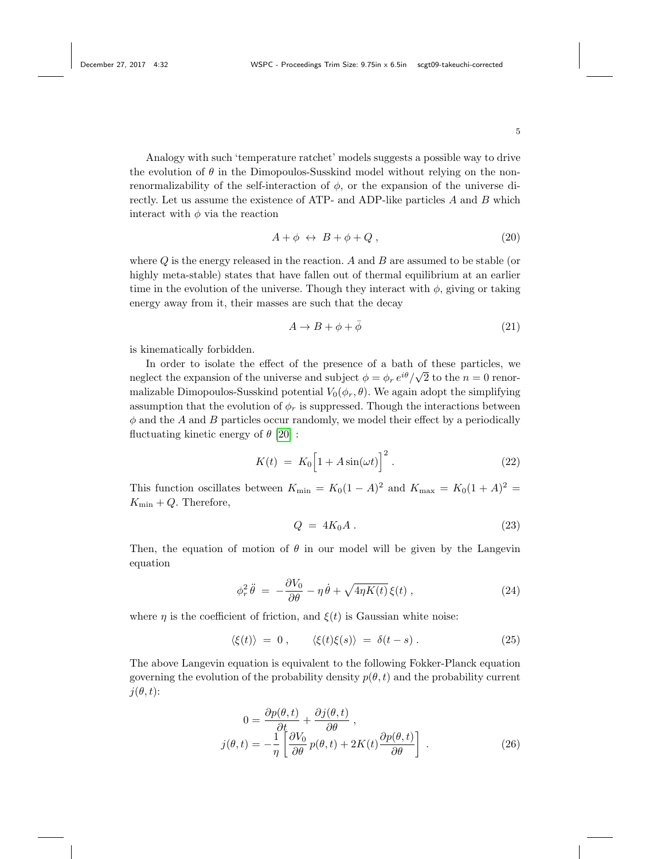Analogy with such 'temperature ratchet' models suggests a possible way to drive the evolution of  $\theta$  in the Dimopoulos-Susskind model without relying on the nonrenormalizability of the self-interaction of  $\phi$ , or the expansion of the universe directly. Let us assume the existence of ATP- and ADP-like particles A and B which interact with  $\phi$  via the reaction

$$
A + \phi \leftrightarrow B + \phi + Q \,, \tag{20}
$$

where  $Q$  is the energy released in the reaction.  $A$  and  $B$  are assumed to be stable (or highly meta-stable) states that have fallen out of thermal equilibrium at an earlier time in the evolution of the universe. Though they interact with  $\phi$ , giving or taking energy away from it, their masses are such that the decay

$$
A \to B + \phi + \bar{\phi} \tag{21}
$$

is kinematically forbidden.

In order to isolate the effect of the presence of a bath of these particles, we neglect the expansion of the universe and subject  $\phi = \phi_r e^{i\theta}/\sqrt{2}$  to the  $n = 0$  renormalizable Dimopoulos-Susskind potential  $V_0(\phi_r, \theta)$ . We again adopt the simplifying assumption that the evolution of  $\phi_r$  is suppressed. Though the interactions between  $\phi$  and the A and B particles occur randomly, we model their effect by a periodically fluctuating kinetic energy of  $\theta$  [\[20\]](#page-6-14):

$$
K(t) = K_0 \left[ 1 + A \sin(\omega t) \right]^2.
$$
 (22)

This function oscillates between  $K_{\min} = K_0(1-A)^2$  and  $K_{\max} = K_0(1+A)^2$  $K_{\min} + Q$ . Therefore,

$$
Q = 4K_0 A \tag{23}
$$

Then, the equation of motion of  $\theta$  in our model will be given by the Langevin equation

$$
\phi_r^2 \ddot{\theta} = -\frac{\partial V_0}{\partial \theta} - \eta \dot{\theta} + \sqrt{4\eta K(t)} \xi(t) , \qquad (24)
$$

where  $\eta$  is the coefficient of friction, and  $\xi(t)$  is Gaussian white noise:

$$
\langle \xi(t) \rangle = 0 , \qquad \langle \xi(t) \xi(s) \rangle = \delta(t - s) . \tag{25}
$$

The above Langevin equation is equivalent to the following Fokker-Planck equation governing the evolution of the probability density  $p(\theta, t)$  and the probability current  $j(\theta, t)$ :

$$
0 = \frac{\partial p(\theta, t)}{\partial t} + \frac{\partial j(\theta, t)}{\partial \theta},
$$
  

$$
j(\theta, t) = -\frac{1}{\eta} \left[ \frac{\partial V_0}{\partial \theta} p(\theta, t) + 2K(t) \frac{\partial p(\theta, t)}{\partial \theta} \right].
$$
 (26)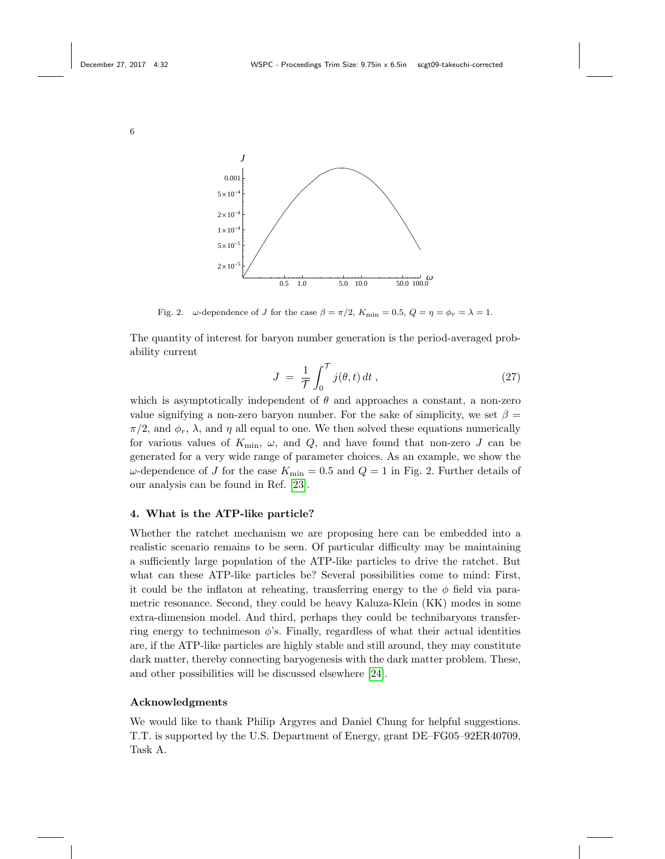

Fig. 2.  $\omega$ -dependence of J for the case  $\beta = \pi/2$ ,  $K_{\min} = 0.5$ ,  $Q = \eta = \phi_r = \lambda = 1$ .

The quantity of interest for baryon number generation is the period-averaged probability current

$$
J = \frac{1}{\mathcal{T}} \int_0^{\mathcal{T}} j(\theta, t) dt , \qquad (27)
$$

which is asymptotically independent of  $\theta$  and approaches a constant, a non-zero value signifying a non-zero baryon number. For the sake of simplicity, we set  $\beta =$  $\pi/2$ , and  $\phi_r$ ,  $\lambda$ , and  $\eta$  all equal to one. We then solved these equations numerically for various values of  $K_{\text{min}}$ ,  $\omega$ , and  $Q$ , and have found that non-zero J can be generated for a very wide range of parameter choices. As an example, we show the ω-dependence of *J* for the case  $K_{\text{min}} = 0.5$  and  $Q = 1$  in Fig. 2. Further details of our analysis can be found in Ref. [\[23\]](#page-6-16).

### 4. What is the ATP-like particle?

Whether the ratchet mechanism we are proposing here can be embedded into a realistic scenario remains to be seen. Of particular difficulty may be maintaining a sufficiently large population of the ATP-like particles to drive the ratchet. But what can these ATP-like particles be? Several possibilities come to mind: First, it could be the inflaton at reheating, transferring energy to the  $\phi$  field via parametric resonance. Second, they could be heavy Kaluza-Klein (KK) modes in some extra-dimension model. And third, perhaps they could be technibaryons transferring energy to technimeson  $\phi$ 's. Finally, regardless of what their actual identities are, if the ATP-like particles are highly stable and still around, they may constitute dark matter, thereby connecting baryogenesis with the dark matter problem. These, and other possibilities will be discussed elsewhere [\[24\]](#page-6-17).

# Acknowledgments

We would like to thank Philip Argyres and Daniel Chung for helpful suggestions. T.T. is supported by the U.S. Department of Energy, grant DE–FG05–92ER40709, Task A.